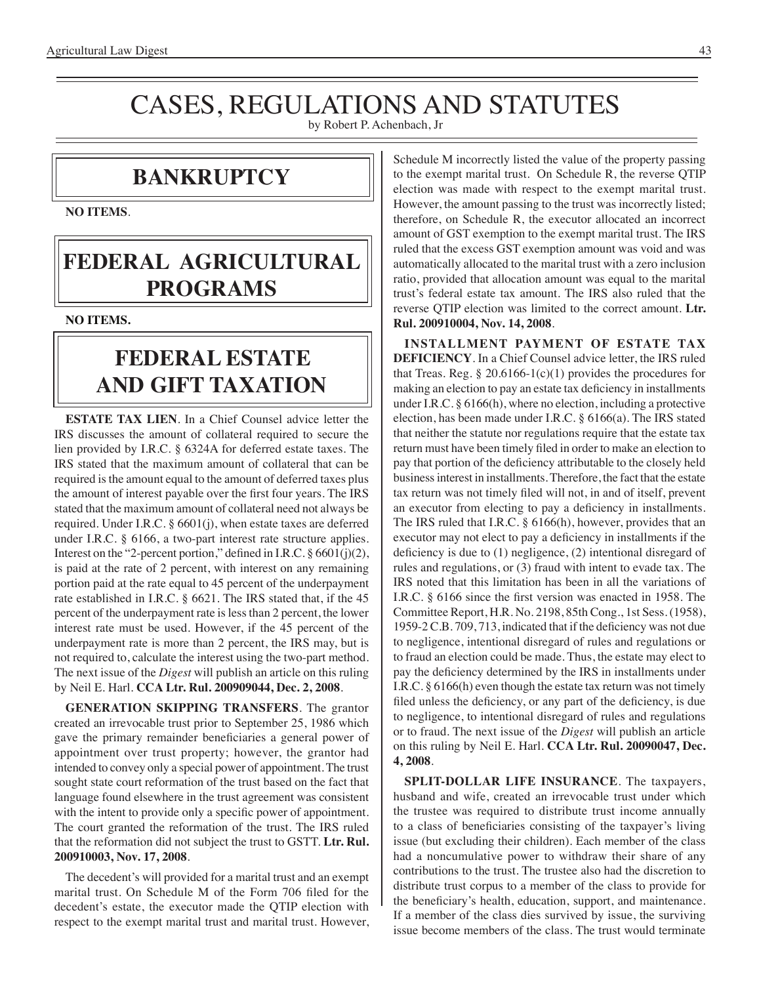# CASES, REGULATIONS AND STATUTES

by Robert P. Achenbach, Jr

### **BANKRUPTCY**

**NO ITEMS**.

# **FEDERAL agricultural programs**

**NO ITEMS.**

# **federal ESTATE AND GIFT taxation**

**ESTATE TAX LIEN**. In a Chief Counsel advice letter the IRS discusses the amount of collateral required to secure the lien provided by I.R.C. § 6324A for deferred estate taxes. The IRS stated that the maximum amount of collateral that can be required is the amount equal to the amount of deferred taxes plus the amount of interest payable over the first four years. The IRS stated that the maximum amount of collateral need not always be required. Under I.R.C. § 6601(j), when estate taxes are deferred under I.R.C. § 6166, a two-part interest rate structure applies. Interest on the "2-percent portion," defined in I.R.C. § 6601(j)(2), is paid at the rate of 2 percent, with interest on any remaining portion paid at the rate equal to 45 percent of the underpayment rate established in I.R.C. § 6621. The IRS stated that, if the 45 percent of the underpayment rate is less than 2 percent, the lower interest rate must be used. However, if the 45 percent of the underpayment rate is more than 2 percent, the IRS may, but is not required to, calculate the interest using the two-part method. The next issue of the *Digest* will publish an article on this ruling by Neil E. Harl. **CCA Ltr. Rul. 200909044, Dec. 2, 2008**.

**GENERATION SKIPPING TRANSFERS**. The grantor created an irrevocable trust prior to September 25, 1986 which gave the primary remainder beneficiaries a general power of appointment over trust property; however, the grantor had intended to convey only a special power of appointment. The trust sought state court reformation of the trust based on the fact that language found elsewhere in the trust agreement was consistent with the intent to provide only a specific power of appointment. The court granted the reformation of the trust. The IRS ruled that the reformation did not subject the trust to GSTT. **Ltr. Rul. 200910003, Nov. 17, 2008**.

The decedent's will provided for a marital trust and an exempt marital trust. On Schedule M of the Form 706 filed for the decedent's estate, the executor made the QTIP election with respect to the exempt marital trust and marital trust. However, Schedule M incorrectly listed the value of the property passing to the exempt marital trust. On Schedule R, the reverse QTIP election was made with respect to the exempt marital trust. However, the amount passing to the trust was incorrectly listed; therefore, on Schedule R, the executor allocated an incorrect amount of GST exemption to the exempt marital trust. The IRS ruled that the excess GST exemption amount was void and was automatically allocated to the marital trust with a zero inclusion ratio, provided that allocation amount was equal to the marital trust's federal estate tax amount. The IRS also ruled that the reverse QTIP election was limited to the correct amount. **Ltr. Rul. 200910004, Nov. 14, 2008**.

**INSTALLMENT PAYMENT OF ESTATE TAX DEFICIENCY**. In a Chief Counsel advice letter, the IRS ruled that Treas. Reg.  $\S 20.6166 - 1(c)(1)$  provides the procedures for making an election to pay an estate tax deficiency in installments under I.R.C. § 6166(h), where no election, including a protective election, has been made under I.R.C. § 6166(a). The IRS stated that neither the statute nor regulations require that the estate tax return must have been timely filed in order to make an election to pay that portion of the deficiency attributable to the closely held business interest in installments. Therefore, the fact that the estate tax return was not timely filed will not, in and of itself, prevent an executor from electing to pay a deficiency in installments. The IRS ruled that I.R.C. § 6166(h), however, provides that an executor may not elect to pay a deficiency in installments if the deficiency is due to (1) negligence, (2) intentional disregard of rules and regulations, or (3) fraud with intent to evade tax. The IRS noted that this limitation has been in all the variations of I.R.C. § 6166 since the first version was enacted in 1958. The Committee Report, H.R. No. 2198, 85th Cong., 1st Sess. (1958), 1959-2 C.B. 709, 713, indicated that if the deficiency was not due to negligence, intentional disregard of rules and regulations or to fraud an election could be made. Thus, the estate may elect to pay the deficiency determined by the IRS in installments under I.R.C. § 6166(h) even though the estate tax return was not timely filed unless the deficiency, or any part of the deficiency, is due to negligence, to intentional disregard of rules and regulations or to fraud. The next issue of the *Digest* will publish an article on this ruling by Neil E. Harl. **CCA Ltr. Rul. 20090047, Dec. 4, 2008**.

**SPLIT-DOLLAR LIFE INSURANCE**. The taxpayers, husband and wife, created an irrevocable trust under which the trustee was required to distribute trust income annually to a class of beneficiaries consisting of the taxpayer's living issue (but excluding their children). Each member of the class had a noncumulative power to withdraw their share of any contributions to the trust. The trustee also had the discretion to distribute trust corpus to a member of the class to provide for the beneficiary's health, education, support, and maintenance. If a member of the class dies survived by issue, the surviving issue become members of the class. The trust would terminate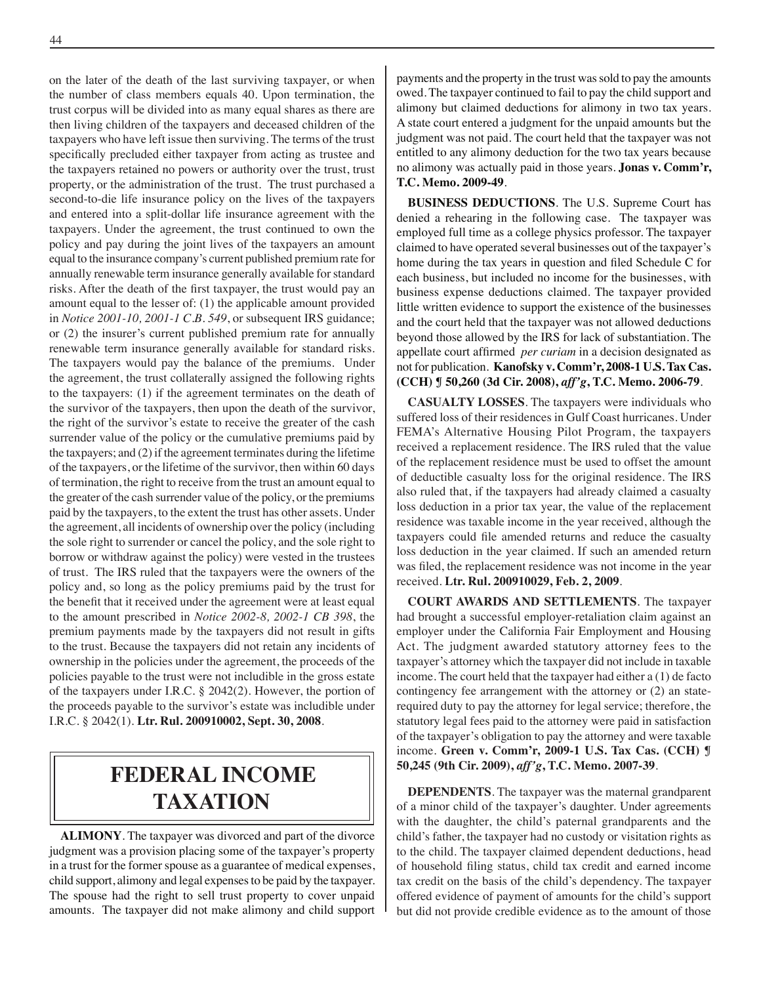on the later of the death of the last surviving taxpayer, or when the number of class members equals 40. Upon termination, the trust corpus will be divided into as many equal shares as there are then living children of the taxpayers and deceased children of the taxpayers who have left issue then surviving. The terms of the trust specifically precluded either taxpayer from acting as trustee and the taxpayers retained no powers or authority over the trust, trust property, or the administration of the trust. The trust purchased a second-to-die life insurance policy on the lives of the taxpayers and entered into a split-dollar life insurance agreement with the taxpayers. Under the agreement, the trust continued to own the policy and pay during the joint lives of the taxpayers an amount equal to the insurance company's current published premium rate for annually renewable term insurance generally available for standard risks. After the death of the first taxpayer, the trust would pay an amount equal to the lesser of: (1) the applicable amount provided in *Notice 2001-10, 2001-1 C.B. 549*, or subsequent IRS guidance; or (2) the insurer's current published premium rate for annually renewable term insurance generally available for standard risks. The taxpayers would pay the balance of the premiums. Under the agreement, the trust collaterally assigned the following rights to the taxpayers: (1) if the agreement terminates on the death of the survivor of the taxpayers, then upon the death of the survivor, the right of the survivor's estate to receive the greater of the cash surrender value of the policy or the cumulative premiums paid by the taxpayers; and (2) if the agreement terminates during the lifetime of the taxpayers, or the lifetime of the survivor, then within 60 days of termination, the right to receive from the trust an amount equal to the greater of the cash surrender value of the policy, or the premiums paid by the taxpayers, to the extent the trust has other assets. Under the agreement, all incidents of ownership over the policy (including the sole right to surrender or cancel the policy, and the sole right to borrow or withdraw against the policy) were vested in the trustees of trust. The IRS ruled that the taxpayers were the owners of the policy and, so long as the policy premiums paid by the trust for the benefit that it received under the agreement were at least equal to the amount prescribed in *Notice 2002-8, 2002-1 CB 398*, the premium payments made by the taxpayers did not result in gifts to the trust. Because the taxpayers did not retain any incidents of ownership in the policies under the agreement, the proceeds of the policies payable to the trust were not includible in the gross estate of the taxpayers under I.R.C. § 2042(2). However, the portion of the proceeds payable to the survivor's estate was includible under I.R.C. § 2042(1). **Ltr. Rul. 200910002, Sept. 30, 2008**.

# **federal income taxation**

**ALIMONY**. The taxpayer was divorced and part of the divorce judgment was a provision placing some of the taxpayer's property in a trust for the former spouse as a guarantee of medical expenses, child support, alimony and legal expenses to be paid by the taxpayer. The spouse had the right to sell trust property to cover unpaid amounts. The taxpayer did not make alimony and child support

payments and the property in the trust was sold to pay the amounts owed. The taxpayer continued to fail to pay the child support and alimony but claimed deductions for alimony in two tax years. A state court entered a judgment for the unpaid amounts but the judgment was not paid. The court held that the taxpayer was not entitled to any alimony deduction for the two tax years because no alimony was actually paid in those years. **Jonas v. Comm'r, T.C. Memo. 2009-49**.

**BUSINESS DEDUCTIONS**. The U.S. Supreme Court has denied a rehearing in the following case. The taxpayer was employed full time as a college physics professor. The taxpayer claimed to have operated several businesses out of the taxpayer's home during the tax years in question and filed Schedule C for each business, but included no income for the businesses, with business expense deductions claimed. The taxpayer provided little written evidence to support the existence of the businesses and the court held that the taxpayer was not allowed deductions beyond those allowed by the IRS for lack of substantiation. The appellate court affirmed *per curiam* in a decision designated as not for publication. **Kanofsky v. Comm'r, 2008-1 U.S. Tax Cas. (CCH) ¶ 50,260 (3d Cir. 2008),** *aff'g***, T.C. Memo. 2006-79**.

**CASUALTY LOSSES**. The taxpayers were individuals who suffered loss of their residences in Gulf Coast hurricanes. Under FEMA's Alternative Housing Pilot Program, the taxpayers received a replacement residence. The IRS ruled that the value of the replacement residence must be used to offset the amount of deductible casualty loss for the original residence. The IRS also ruled that, if the taxpayers had already claimed a casualty loss deduction in a prior tax year, the value of the replacement residence was taxable income in the year received, although the taxpayers could file amended returns and reduce the casualty loss deduction in the year claimed. If such an amended return was filed, the replacement residence was not income in the year received. **Ltr. Rul. 200910029, Feb. 2, 2009**.

**COURT AWARDS AND SETTLEMENTS**. The taxpayer had brought a successful employer-retaliation claim against an employer under the California Fair Employment and Housing Act. The judgment awarded statutory attorney fees to the taxpayer's attorney which the taxpayer did not include in taxable income. The court held that the taxpayer had either a (1) de facto contingency fee arrangement with the attorney or (2) an staterequired duty to pay the attorney for legal service; therefore, the statutory legal fees paid to the attorney were paid in satisfaction of the taxpayer's obligation to pay the attorney and were taxable income. **Green v. Comm'r, 2009-1 U.S. Tax Cas. (CCH) ¶ 50,245 (9th Cir. 2009),** *aff'g***, T.C. Memo. 2007-39**.

**DEPENDENTS**. The taxpayer was the maternal grandparent of a minor child of the taxpayer's daughter. Under agreements with the daughter, the child's paternal grandparents and the child's father, the taxpayer had no custody or visitation rights as to the child. The taxpayer claimed dependent deductions, head of household filing status, child tax credit and earned income tax credit on the basis of the child's dependency. The taxpayer offered evidence of payment of amounts for the child's support but did not provide credible evidence as to the amount of those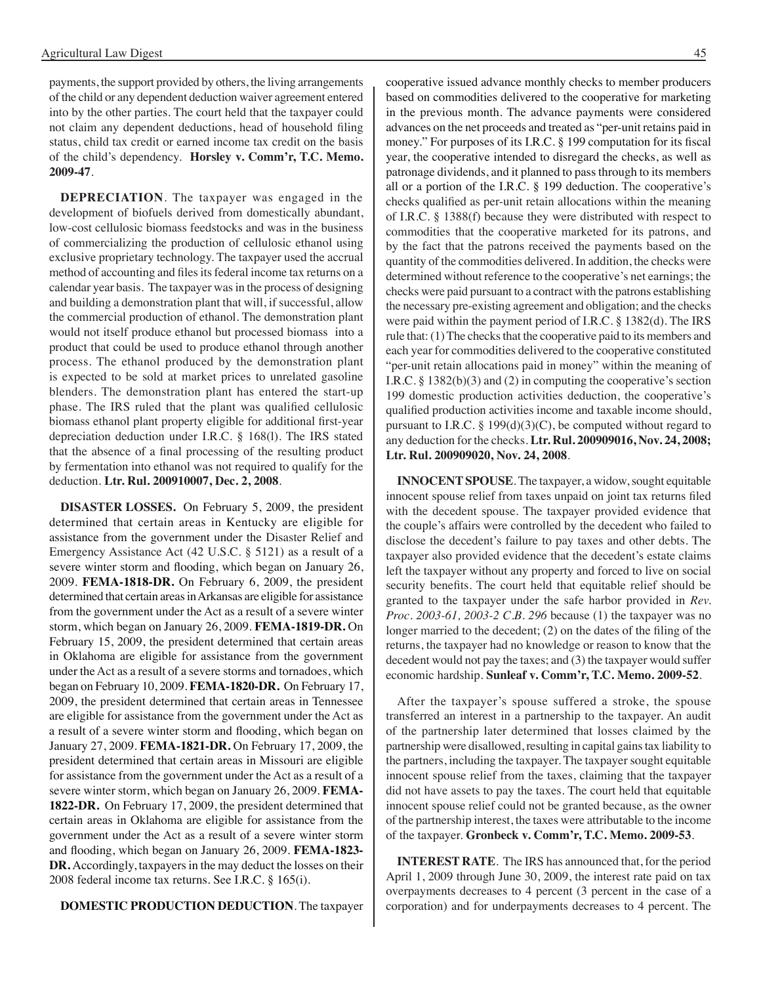payments, the support provided by others, the living arrangements of the child or any dependent deduction waiver agreement entered into by the other parties. The court held that the taxpayer could not claim any dependent deductions, head of household filing status, child tax credit or earned income tax credit on the basis of the child's dependency. **Horsley v. Comm'r, T.C. Memo. 2009-47**.

**DEPRECIATION**. The taxpayer was engaged in the development of biofuels derived from domestically abundant, low-cost cellulosic biomass feedstocks and was in the business of commercializing the production of cellulosic ethanol using exclusive proprietary technology. The taxpayer used the accrual method of accounting and files its federal income tax returns on a calendar year basis. The taxpayer was in the process of designing and building a demonstration plant that will, if successful, allow the commercial production of ethanol. The demonstration plant would not itself produce ethanol but processed biomass into a product that could be used to produce ethanol through another process. The ethanol produced by the demonstration plant is expected to be sold at market prices to unrelated gasoline blenders. The demonstration plant has entered the start-up phase. The IRS ruled that the plant was qualified cellulosic biomass ethanol plant property eligible for additional first-year depreciation deduction under I.R.C. § 168(l). The IRS stated that the absence of a final processing of the resulting product by fermentation into ethanol was not required to qualify for the deduction. **Ltr. Rul. 200910007, Dec. 2, 2008**.

**DISASTER LOSSES.** On February 5, 2009, the president determined that certain areas in Kentucky are eligible for assistance from the government under the Disaster Relief and Emergency Assistance Act (42 U.S.C. § 5121) as a result of a severe winter storm and flooding, which began on January 26, 2009. **FEMA-1818-DR.** On February 6, 2009, the president determined that certain areas in Arkansas are eligible for assistance from the government under the Act as a result of a severe winter storm, which began on January 26, 2009. **FEMA-1819-DR.** On February 15, 2009, the president determined that certain areas in Oklahoma are eligible for assistance from the government under the Act as a result of a severe storms and tornadoes, which began on February 10, 2009. **FEMA-1820-DR.** On February 17, 2009, the president determined that certain areas in Tennessee are eligible for assistance from the government under the Act as a result of a severe winter storm and flooding, which began on January 27, 2009. **FEMA-1821-DR.** On February 17, 2009, the president determined that certain areas in Missouri are eligible for assistance from the government under the Act as a result of a severe winter storm, which began on January 26, 2009. **FEMA-1822-DR.** On February 17, 2009, the president determined that certain areas in Oklahoma are eligible for assistance from the government under the Act as a result of a severe winter storm and flooding, which began on January 26, 2009. **FEMA-1823- DR.** Accordingly, taxpayers in the may deduct the losses on their 2008 federal income tax returns. See I.R.C. § 165(i).

**DOMESTIC PRODUCTION DEDUCTION**. The taxpayer

cooperative issued advance monthly checks to member producers based on commodities delivered to the cooperative for marketing in the previous month. The advance payments were considered advances on the net proceeds and treated as "per-unit retains paid in money." For purposes of its I.R.C. § 199 computation for its fiscal year, the cooperative intended to disregard the checks, as well as patronage dividends, and it planned to pass through to its members all or a portion of the I.R.C. § 199 deduction. The cooperative's checks qualified as per-unit retain allocations within the meaning of I.R.C. § 1388(f) because they were distributed with respect to commodities that the cooperative marketed for its patrons, and by the fact that the patrons received the payments based on the quantity of the commodities delivered. In addition, the checks were determined without reference to the cooperative's net earnings; the checks were paid pursuant to a contract with the patrons establishing the necessary pre-existing agreement and obligation; and the checks

qualified production activities income and taxable income should, pursuant to I.R.C. § 199(d)(3)(C), be computed without regard to any deduction for the checks. **Ltr. Rul. 200909016, Nov. 24, 2008; Ltr. Rul. 200909020, Nov. 24, 2008**. **INNOCENT SPOUSE**. The taxpayer, a widow, sought equitable innocent spouse relief from taxes unpaid on joint tax returns filed with the decedent spouse. The taxpayer provided evidence that the couple's affairs were controlled by the decedent who failed to disclose the decedent's failure to pay taxes and other debts. The taxpayer also provided evidence that the decedent's estate claims left the taxpayer without any property and forced to live on social

were paid within the payment period of I.R.C. § 1382(d). The IRS rule that: (1) The checks that the cooperative paid to its members and each year for commodities delivered to the cooperative constituted "per-unit retain allocations paid in money" within the meaning of I.R.C. § 1382(b)(3) and (2) in computing the cooperative's section 199 domestic production activities deduction, the cooperative's

security benefits. The court held that equitable relief should be granted to the taxpayer under the safe harbor provided in *Rev. Proc. 2003-61, 2003-2 C.B. 296* because (1) the taxpayer was no longer married to the decedent; (2) on the dates of the filing of the returns, the taxpayer had no knowledge or reason to know that the decedent would not pay the taxes; and (3) the taxpayer would suffer economic hardship. **Sunleaf v. Comm'r, T.C. Memo. 2009-52**.

After the taxpayer's spouse suffered a stroke, the spouse transferred an interest in a partnership to the taxpayer. An audit of the partnership later determined that losses claimed by the partnership were disallowed, resulting in capital gains tax liability to the partners, including the taxpayer. The taxpayer sought equitable innocent spouse relief from the taxes, claiming that the taxpayer did not have assets to pay the taxes. The court held that equitable innocent spouse relief could not be granted because, as the owner of the partnership interest, the taxes were attributable to the income of the taxpayer. **Gronbeck v. Comm'r, T.C. Memo. 2009-53**.

**INTEREST RATE**. The IRS has announced that, for the period April 1, 2009 through June 30, 2009, the interest rate paid on tax overpayments decreases to 4 percent (3 percent in the case of a corporation) and for underpayments decreases to 4 percent. The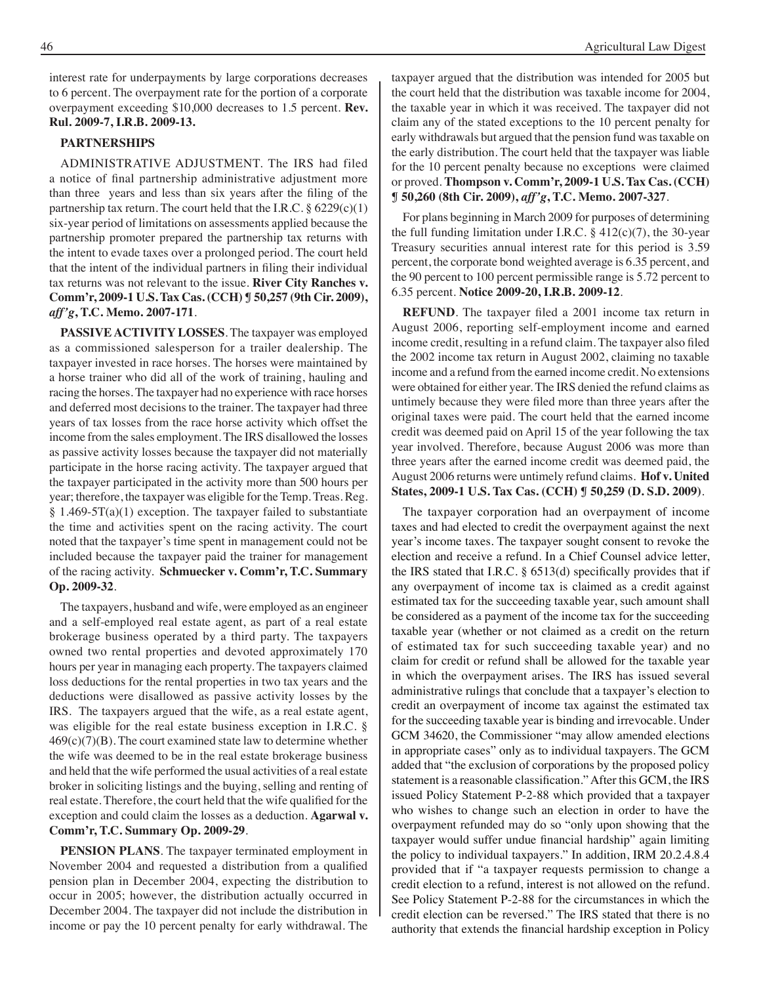interest rate for underpayments by large corporations decreases to 6 percent. The overpayment rate for the portion of a corporate overpayment exceeding \$10,000 decreases to 1.5 percent. **Rev. Rul. 2009-7, I.R.B. 2009-13.**

#### **PARTNERSHIPS**

ADMINISTRATIVE ADJUSTMENT. The IRS had filed a notice of final partnership administrative adjustment more than three years and less than six years after the filing of the partnership tax return. The court held that the I.R.C.  $\S 6229(c)(1)$ six-year period of limitations on assessments applied because the partnership promoter prepared the partnership tax returns with the intent to evade taxes over a prolonged period. The court held that the intent of the individual partners in filing their individual tax returns was not relevant to the issue. **River City Ranches v. Comm'r, 2009-1 U.S. Tax Cas. (CCH) ¶ 50,257 (9th Cir. 2009),**  *aff'g***, T.C. Memo. 2007-171**.

**PASSIVE ACTIVITY LOSSES**. The taxpayer was employed as a commissioned salesperson for a trailer dealership. The taxpayer invested in race horses. The horses were maintained by a horse trainer who did all of the work of training, hauling and racing the horses. The taxpayer had no experience with race horses and deferred most decisions to the trainer. The taxpayer had three years of tax losses from the race horse activity which offset the income from the sales employment. The IRS disallowed the losses as passive activity losses because the taxpayer did not materially participate in the horse racing activity. The taxpayer argued that the taxpayer participated in the activity more than 500 hours per year; therefore, the taxpayer was eligible for the Temp. Treas. Reg. § 1.469-5T(a)(1) exception. The taxpayer failed to substantiate the time and activities spent on the racing activity. The court noted that the taxpayer's time spent in management could not be included because the taxpayer paid the trainer for management of the racing activity. **Schmuecker v. Comm'r, T.C. Summary Op. 2009-32**.

The taxpayers, husband and wife, were employed as an engineer and a self-employed real estate agent, as part of a real estate brokerage business operated by a third party. The taxpayers owned two rental properties and devoted approximately 170 hours per year in managing each property. The taxpayers claimed loss deductions for the rental properties in two tax years and the deductions were disallowed as passive activity losses by the IRS. The taxpayers argued that the wife, as a real estate agent, was eligible for the real estate business exception in I.R.C. §  $469(c)(7)(B)$ . The court examined state law to determine whether the wife was deemed to be in the real estate brokerage business and held that the wife performed the usual activities of a real estate broker in soliciting listings and the buying, selling and renting of real estate. Therefore, the court held that the wife qualified for the exception and could claim the losses as a deduction. **Agarwal v. Comm'r, T.C. Summary Op. 2009-29**.

**PENSION PLANS**. The taxpayer terminated employment in November 2004 and requested a distribution from a qualified pension plan in December 2004, expecting the distribution to occur in 2005; however, the distribution actually occurred in December 2004. The taxpayer did not include the distribution in income or pay the 10 percent penalty for early withdrawal. The

taxpayer argued that the distribution was intended for 2005 but the court held that the distribution was taxable income for 2004, the taxable year in which it was received. The taxpayer did not claim any of the stated exceptions to the 10 percent penalty for early withdrawals but argued that the pension fund was taxable on the early distribution. The court held that the taxpayer was liable for the 10 percent penalty because no exceptions were claimed or proved. **Thompson v. Comm'r, 2009-1 U.S. Tax Cas. (CCH) ¶ 50,260 (8th Cir. 2009),** *aff'g***, T.C. Memo. 2007-327**.

For plans beginning in March 2009 for purposes of determining the full funding limitation under I.R.C.  $\S$  412(c)(7), the 30-year Treasury securities annual interest rate for this period is 3.59 percent, the corporate bond weighted average is 6.35 percent, and the 90 percent to 100 percent permissible range is 5.72 percent to 6.35 percent. **Notice 2009-20, I.R.B. 2009-12**.

**REFUND**. The taxpayer filed a 2001 income tax return in August 2006, reporting self-employment income and earned income credit, resulting in a refund claim. The taxpayer also filed the 2002 income tax return in August 2002, claiming no taxable income and a refund from the earned income credit. No extensions were obtained for either year. The IRS denied the refund claims as untimely because they were filed more than three years after the original taxes were paid. The court held that the earned income credit was deemed paid on April 15 of the year following the tax year involved. Therefore, because August 2006 was more than three years after the earned income credit was deemed paid, the August 2006 returns were untimely refund claims. **Hof v. United States, 2009-1 U.S. Tax Cas. (CCH) ¶ 50,259 (D. S.D. 2009)**.

The taxpayer corporation had an overpayment of income taxes and had elected to credit the overpayment against the next year's income taxes. The taxpayer sought consent to revoke the election and receive a refund. In a Chief Counsel advice letter, the IRS stated that I.R.C. § 6513(d) specifically provides that if any overpayment of income tax is claimed as a credit against estimated tax for the succeeding taxable year, such amount shall be considered as a payment of the income tax for the succeeding taxable year (whether or not claimed as a credit on the return of estimated tax for such succeeding taxable year) and no claim for credit or refund shall be allowed for the taxable year in which the overpayment arises. The IRS has issued several administrative rulings that conclude that a taxpayer's election to credit an overpayment of income tax against the estimated tax for the succeeding taxable year is binding and irrevocable. Under GCM 34620, the Commissioner "may allow amended elections in appropriate cases" only as to individual taxpayers. The GCM added that "the exclusion of corporations by the proposed policy statement is a reasonable classification."After this GCM, the IRS issued Policy Statement P-2-88 which provided that a taxpayer who wishes to change such an election in order to have the overpayment refunded may do so "only upon showing that the taxpayer would suffer undue financial hardship" again limiting the policy to individual taxpayers." In addition, IRM 20.2.4.8.4 provided that if "a taxpayer requests permission to change a credit election to a refund, interest is not allowed on the refund. See Policy Statement P-2-88 for the circumstances in which the credit election can be reversed." The IRS stated that there is no authority that extends the financial hardship exception in Policy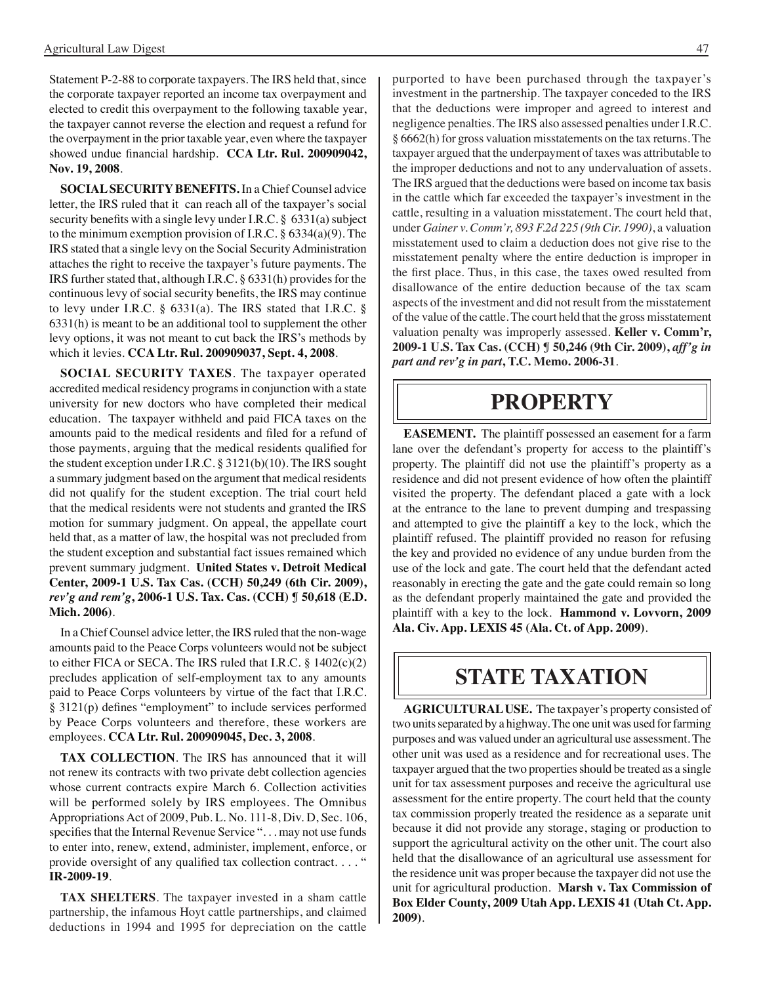Statement P-2-88 to corporate taxpayers. The IRS held that, since the corporate taxpayer reported an income tax overpayment and elected to credit this overpayment to the following taxable year, the taxpayer cannot reverse the election and request a refund for the overpayment in the prior taxable year, even where the taxpayer showed undue financial hardship. **CCA Ltr. Rul. 200909042, Nov. 19, 2008**.

**SOCIAL SECURITY BENEFITS.** In a Chief Counsel advice letter, the IRS ruled that it can reach all of the taxpayer's social security benefits with a single levy under I.R.C.  $\S$  6331(a) subject to the minimum exemption provision of I.R.C.  $\S$  6334(a)(9). The IRS stated that a single levy on the Social Security Administration attaches the right to receive the taxpayer's future payments. The IRS further stated that, although I.R.C. § 6331(h) provides for the continuous levy of social security benefits, the IRS may continue to levy under I.R.C. § 6331(a). The IRS stated that I.R.C. § 6331(h) is meant to be an additional tool to supplement the other levy options, it was not meant to cut back the IRS's methods by which it levies. **CCA Ltr. Rul. 200909037, Sept. 4, 2008**.

**SOCIAL SECURITY TAXES**. The taxpayer operated accredited medical residency programs in conjunction with a state university for new doctors who have completed their medical education. The taxpayer withheld and paid FICA taxes on the amounts paid to the medical residents and filed for a refund of those payments, arguing that the medical residents qualified for the student exception under I.R.C. § 3121(b)(10). The IRS sought a summary judgment based on the argument that medical residents did not qualify for the student exception. The trial court held that the medical residents were not students and granted the IRS motion for summary judgment. On appeal, the appellate court held that, as a matter of law, the hospital was not precluded from the student exception and substantial fact issues remained which prevent summary judgment. **United States v. Detroit Medical Center, 2009-1 U.S. Tax Cas. (CCH) 50,249 (6th Cir. 2009),**  *rev'g and rem'g***, 2006-1 U.S. Tax. Cas. (CCH) ¶ 50,618 (E.D. Mich. 2006)**.

In a Chief Counsel advice letter, the IRS ruled that the non-wage amounts paid to the Peace Corps volunteers would not be subject to either FICA or SECA. The IRS ruled that I.R.C. § 1402(c)(2) precludes application of self-employment tax to any amounts paid to Peace Corps volunteers by virtue of the fact that I.R.C. § 3121(p) defines "employment" to include services performed by Peace Corps volunteers and therefore, these workers are employees. **CCA Ltr. Rul. 200909045, Dec. 3, 2008**.

**TAX COLLECTION**. The IRS has announced that it will not renew its contracts with two private debt collection agencies whose current contracts expire March 6. Collection activities will be performed solely by IRS employees. The Omnibus Appropriations Act of 2009, Pub. L. No. 111-8, Div. D, Sec. 106, specifies that the Internal Revenue Service "... may not use funds to enter into, renew, extend, administer, implement, enforce, or provide oversight of any qualified tax collection contract. . . . " **IR-2009-19**.

**TAX SHELTERS**. The taxpayer invested in a sham cattle partnership, the infamous Hoyt cattle partnerships, and claimed deductions in 1994 and 1995 for depreciation on the cattle

purported to have been purchased through the taxpayer's investment in the partnership. The taxpayer conceded to the IRS that the deductions were improper and agreed to interest and negligence penalties. The IRS also assessed penalties under I.R.C. § 6662(h) for gross valuation misstatements on the tax returns. The taxpayer argued that the underpayment of taxes was attributable to the improper deductions and not to any undervaluation of assets. The IRS argued that the deductions were based on income tax basis in the cattle which far exceeded the taxpayer's investment in the cattle, resulting in a valuation misstatement. The court held that, under *Gainer v. Comm'r, 893 F.2d 225 (9th Cir. 1990)*, a valuation misstatement used to claim a deduction does not give rise to the misstatement penalty where the entire deduction is improper in the first place. Thus, in this case, the taxes owed resulted from disallowance of the entire deduction because of the tax scam aspects of the investment and did not result from the misstatement of the value of the cattle. The court held that the gross misstatement valuation penalty was improperly assessed. **Keller v. Comm'r, 2009-1 U.S. Tax Cas. (CCH) ¶ 50,246 (9th Cir. 2009),** *aff'g in part and rev'g in part***, T.C. Memo. 2006-31**.

### **PROPERTY**

**EASEMENT.** The plaintiff possessed an easement for a farm lane over the defendant's property for access to the plaintiff's property. The plaintiff did not use the plaintiff's property as a residence and did not present evidence of how often the plaintiff visited the property. The defendant placed a gate with a lock at the entrance to the lane to prevent dumping and trespassing and attempted to give the plaintiff a key to the lock, which the plaintiff refused. The plaintiff provided no reason for refusing the key and provided no evidence of any undue burden from the use of the lock and gate. The court held that the defendant acted reasonably in erecting the gate and the gate could remain so long as the defendant properly maintained the gate and provided the plaintiff with a key to the lock. **Hammond v. Lovvorn, 2009 Ala. Civ. App. LEXIS 45 (Ala. Ct. of App. 2009)**.

### **State taxation**

**AGRICULTURAL USE.** The taxpayer's property consisted of two units separated by a highway. The one unit was used for farming purposes and was valued under an agricultural use assessment. The other unit was used as a residence and for recreational uses. The taxpayer argued that the two properties should be treated as a single unit for tax assessment purposes and receive the agricultural use assessment for the entire property. The court held that the county tax commission properly treated the residence as a separate unit because it did not provide any storage, staging or production to support the agricultural activity on the other unit. The court also held that the disallowance of an agricultural use assessment for the residence unit was proper because the taxpayer did not use the unit for agricultural production. **Marsh v. Tax Commission of Box Elder County, 2009 Utah App. LEXIS 41 (Utah Ct. App. 2009)**.